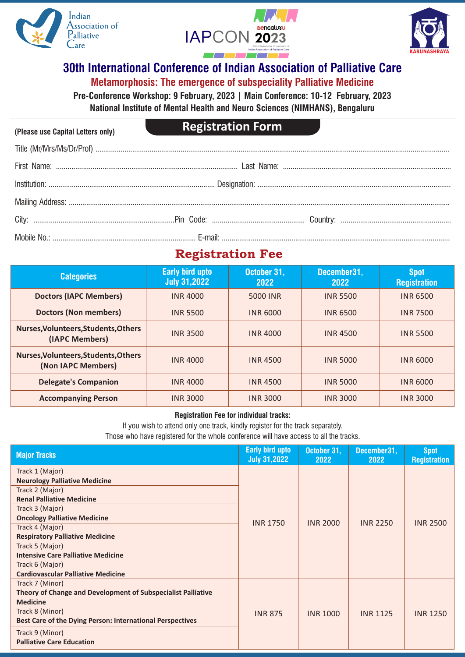

**(Please use Capital Letters only)**





## **30th International Conference of Indian Association of Palliative Care Metamorphosis: The emergence of subspeciality Palliative Medicine**

**Pre-Conference Workshop: 9 February, 2023 | Main Conference: 10-12 February, 2023**

**National Institute of Mental Health and Neuro Sciences (NIMHANS), Bengaluru**

# **Registration Form**

# **Registration Fee**

| <b>Categories</b>                                          | <b>Early bird upto</b><br><b>July 31,2022</b> | October 31,<br>2022 | December31,<br>2022 | <b>Spot</b><br><b>Registration</b> |
|------------------------------------------------------------|-----------------------------------------------|---------------------|---------------------|------------------------------------|
| <b>Doctors (IAPC Members)</b>                              | <b>INR 4000</b>                               | 5000 INR            | <b>INR 5500</b>     | <b>INR 6500</b>                    |
| <b>Doctors (Non members)</b>                               | <b>INR 5500</b>                               | <b>INR 6000</b>     | <b>INR 6500</b>     | <b>INR 7500</b>                    |
| Nurses, Volunteers, Students, Others<br>(IAPC Members)     | <b>INR 3500</b>                               | <b>INR 4000</b>     | <b>INR 4500</b>     | <b>INR 5500</b>                    |
| Nurses, Volunteers, Students, Others<br>(Non IAPC Members) | <b>INR 4000</b>                               | <b>INR4500</b>      | <b>INR 5000</b>     | <b>INR 6000</b>                    |
| <b>Delegate's Companion</b>                                | <b>INR 4000</b>                               | <b>INR4500</b>      | <b>INR 5000</b>     | <b>INR 6000</b>                    |
| <b>Accompanying Person</b>                                 | <b>INR 3000</b>                               | <b>INR 3000</b>     | <b>INR 3000</b>     | <b>INR 3000</b>                    |

#### **Registration Fee for individual tracks:**

If you wish to attend only one track, kindly register for the track separately.

Those who have registered for the whole conference will have access to all the tracks.

| <b>Major Tracks</b>                                          | <b>Early bird upto</b><br><b>July 31,2022</b> | October 31,<br>2022 | December31,<br>2022 | <b>Spot</b><br><b>Registration</b> |
|--------------------------------------------------------------|-----------------------------------------------|---------------------|---------------------|------------------------------------|
| Track 1 (Major)                                              |                                               | <b>INR 2000</b>     | <b>INR 2250</b>     | <b>INR 2500</b>                    |
| <b>Neurology Palliative Medicine</b>                         |                                               |                     |                     |                                    |
| Track 2 (Major)                                              |                                               |                     |                     |                                    |
| <b>Renal Palliative Medicine</b>                             |                                               |                     |                     |                                    |
| Track 3 (Major)                                              | <b>INR 1750</b>                               |                     |                     |                                    |
| <b>Oncology Palliative Medicine</b>                          |                                               |                     |                     |                                    |
| Track 4 (Major)                                              |                                               |                     |                     |                                    |
| <b>Respiratory Palliative Medicine</b>                       |                                               |                     |                     |                                    |
| Track 5 (Major)                                              |                                               |                     |                     |                                    |
| <b>Intensive Care Palliative Medicine</b>                    |                                               |                     |                     |                                    |
| Track 6 (Major)                                              |                                               |                     |                     |                                    |
| <b>Cardiovascular Palliative Medicine</b>                    |                                               |                     |                     |                                    |
| Track 7 (Minor)                                              |                                               | <b>INR 1000</b>     | <b>INR 1125</b>     | <b>INR 1250</b>                    |
| Theory of Change and Development of Subspecialist Palliative |                                               |                     |                     |                                    |
| <b>Medicine</b>                                              | <b>INR 875</b>                                |                     |                     |                                    |
| Track 8 (Minor)                                              |                                               |                     |                     |                                    |
| Best Care of the Dying Person: International Perspectives    |                                               |                     |                     |                                    |
| Track 9 (Minor)                                              |                                               |                     |                     |                                    |
| <b>Palliative Care Education</b>                             |                                               |                     |                     |                                    |